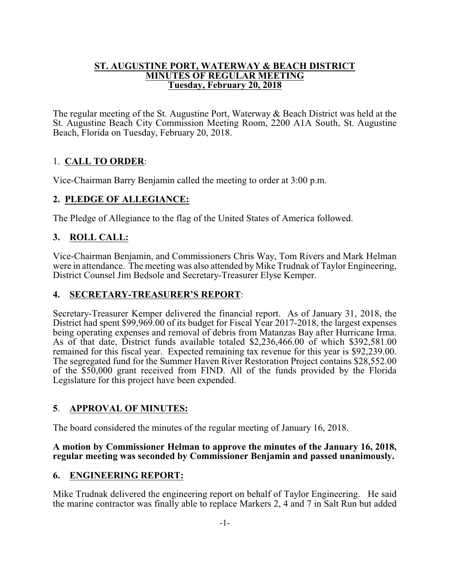#### **ST. AUGUSTINE PORT, WATERWAY & BEACH DISTRICT MINUTES OF REGULAR MEETING Tuesday, February 20, 2018**

The regular meeting of the St. Augustine Port, Waterway & Beach District was held at the St. Augustine Beach City Commission Meeting Room, 2200 A1A South, St. Augustine Beach, Florida on Tuesday, February 20, 2018.

## 1. **CALL TO ORDER**:

Vice-Chairman Barry Benjamin called the meeting to order at 3:00 p.m.

## **2. PLEDGE OF ALLEGIANCE:**

The Pledge of Allegiance to the flag of the United States of America followed.

## **3. ROLL CALL:**

Vice-Chairman Benjamin, and Commissioners Chris Way, Tom Rivers and Mark Helman were in attendance. The meeting was also attended by Mike Trudnak of Taylor Engineering, District Counsel Jim Bedsole and Secretary-Treasurer Elyse Kemper.

### **4. SECRETARY-TREASURER'S REPORT**:

Secretary-Treasurer Kemper delivered the financial report. As of January 31, 2018, the District had spent \$99,969.00 of its budget for Fiscal Year 2017-2018, the largest expenses being operating expenses and removal of debris from Matanzas Bay after Hurricane Irma. As of that date, District funds available totaled \$2,236,466.00 of which \$392,581.00 remained for this fiscal year. Expected remaining tax revenue for this year is \$92,239.00. The segregated fund for the Summer Haven River Restoration Project contains \$28,552.00 of the \$50,000 grant received from FIND. All of the funds provided by the Florida Legislature for this project have been expended.

### **5**. **APPROVAL OF MINUTES:**

The board considered the minutes of the regular meeting of January 16, 2018.

#### **A motion by Commissioner Helman to approve the minutes of the January 16, 2018, regular meeting was seconded by Commissioner Benjamin and passed unanimously.**

### **6. ENGINEERING REPORT:**

Mike Trudnak delivered the engineering report on behalf of Taylor Engineering. He said the marine contractor was finally able to replace Markers 2, 4 and 7 in Salt Run but added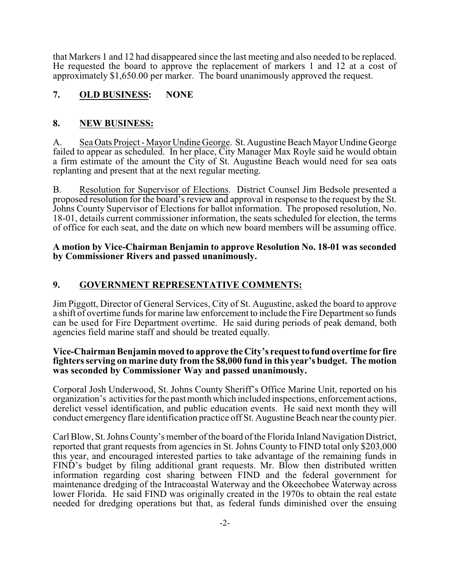that Markers 1 and 12 had disappeared since the last meeting and also needed to be replaced. He requested the board to approve the replacement of markers 1 and 12 at a cost of approximately \$1,650.00 per marker. The board unanimously approved the request.

## **7. OLD BUSINESS: NONE**

### **8. NEW BUSINESS:**

A. Sea Oats Project - Mayor Undine George. St. Augustine Beach Mayor Undine George failed to appear as scheduled. In her place, City Manager Max Royle said he would obtain a firm estimate of the amount the City of St. Augustine Beach would need for sea oats replanting and present that at the next regular meeting.

B. Resolution for Supervisor of Elections. District Counsel Jim Bedsole presented a proposed resolution for the board's review and approval in response to the request by the St. Johns County Supervisor of Elections for ballot information. The proposed resolution, No. 18-01, details current commissioner information, the seats scheduled for election, the terms of office for each seat, and the date on which new board members will be assuming office.

#### **A motion by Vice-Chairman Benjamin to approve Resolution No. 18-01 was seconded by Commissioner Rivers and passed unanimously.**

## **9. GOVERNMENT REPRESENTATIVE COMMENTS:**

Jim Piggott, Director of General Services, City of St. Augustine, asked the board to approve a shift of overtime funds for marine law enforcement to include the Fire Department so funds can be used for Fire Department overtime. He said during periods of peak demand, both agencies field marine staff and should be treated equally.

#### **Vice-Chairman Benjamin moved to approve the City's request to fund overtime for fire fighters serving on marine duty from the \$8,000 fund in this year's budget. The motion was seconded by Commissioner Way and passed unanimously.**

Corporal Josh Underwood, St. Johns County Sheriff's Office Marine Unit, reported on his organization's activities for the past month which included inspections, enforcement actions, derelict vessel identification, and public education events. He said next month they will conduct emergency flare identification practice off St. Augustine Beach near the county pier.

Carl Blow, St. Johns County's member of the board ofthe Florida Inland Navigation District, reported that grant requests from agencies in St. Johns County to FIND total only \$203,000 this year, and encouraged interested parties to take advantage of the remaining funds in FIND's budget by filing additional grant requests. Mr. Blow then distributed written information regarding cost sharing between FIND and the federal government for maintenance dredging of the Intracoastal Waterway and the Okeechobee Waterway across lower Florida. He said FIND was originally created in the 1970s to obtain the real estate needed for dredging operations but that, as federal funds diminished over the ensuing